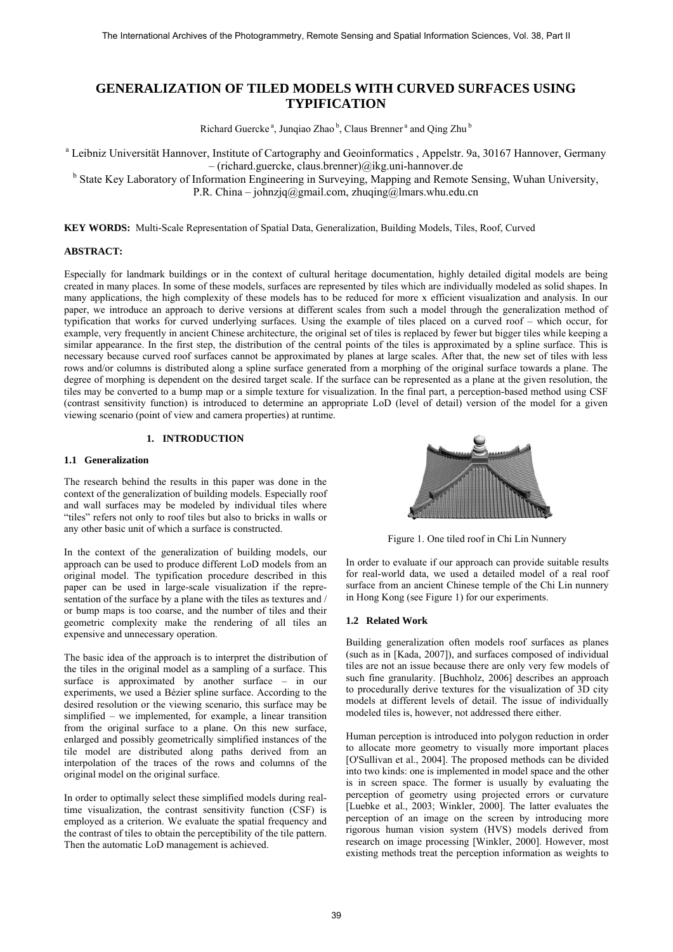# **GENERALIZATION OF TILED MODELS WITH CURVED SURFACES USING TYPIFICATION**

Richard Guercke<sup>a</sup>, Junqiao Zhao<sup>b</sup>, Claus Brenner<sup>a</sup> and Qing Zhu<sup>b</sup>

<sup>a</sup> Leibniz Universität Hannover, Institute of Cartography and Geoinformatics, Appelstr. 9a, 30167 Hannover, Germany – (richard.guercke, claus.brenner)@ikg.uni-hannover.de

<sup>b</sup> State Key Laboratory of Information Engineering in Surveying, Mapping and Remote Sensing, Wuhan University, P.R. China – johnzjq@gmail.com, zhuqing@lmars.whu.edu.cn

**KEY WORDS:** Multi-Scale Representation of Spatial Data, Generalization, Building Models, Tiles, Roof, Curved

## **ABSTRACT:**

Especially for landmark buildings or in the context of cultural heritage documentation, highly detailed digital models are being created in many places. In some of these models, surfaces are represented by tiles which are individually modeled as solid shapes. In many applications, the high complexity of these models has to be reduced for more x efficient visualization and analysis. In our paper, we introduce an approach to derive versions at different scales from such a model through the generalization method of typification that works for curved underlying surfaces. Using the example of tiles placed on a curved roof – which occur, for example, very frequently in ancient Chinese architecture, the original set of tiles is replaced by fewer but bigger tiles while keeping a similar appearance. In the first step, the distribution of the central points of the tiles is approximated by a spline surface. This is necessary because curved roof surfaces cannot be approximated by planes at large scales. After that, the new set of tiles with less rows and/or columns is distributed along a spline surface generated from a morphing of the original surface towards a plane. The degree of morphing is dependent on the desired target scale. If the surface can be represented as a plane at the given resolution, the tiles may be converted to a bump map or a simple texture for visualization. In the final part, a perception-based method using CSF (contrast sensitivity function) is introduced to determine an appropriate LoD (level of detail) version of the model for a given viewing scenario (point of view and camera properties) at runtime.

# **1. INTRODUCTION**

## **1.1 Generalization**

The research behind the results in this paper was done in the context of the generalization of building models. Especially roof and wall surfaces may be modeled by individual tiles where "tiles" refers not only to roof tiles but also to bricks in walls or any other basic unit of which a surface is constructed.

In the context of the generalization of building models, our approach can be used to produce different LoD models from an original model. The typification procedure described in this paper can be used in large-scale visualization if the representation of the surface by a plane with the tiles as textures and / or bump maps is too coarse, and the number of tiles and their geometric complexity make the rendering of all tiles an expensive and unnecessary operation.

The basic idea of the approach is to interpret the distribution of the tiles in the original model as a sampling of a surface. This surface is approximated by another surface – in our experiments, we used a Bézier spline surface. According to the desired resolution or the viewing scenario, this surface may be simplified – we implemented, for example, a linear transition from the original surface to a plane. On this new surface, enlarged and possibly geometrically simplified instances of the tile model are distributed along paths derived from an interpolation of the traces of the rows and columns of the original model on the original surface.

In order to optimally select these simplified models during realtime visualization, the contrast sensitivity function (CSF) is employed as a criterion. We evaluate the spatial frequency and the contrast of tiles to obtain the perceptibility of the tile pattern. Then the automatic LoD management is achieved.



Figure 1. One tiled roof in Chi Lin Nunnery

In order to evaluate if our approach can provide suitable results for real-world data, we used a detailed model of a real roof surface from an ancient Chinese temple of the Chi Lin nunnery in Hong Kong (see Figure 1) for our experiments.

#### **1.2 Related Work**

Building generalization often models roof surfaces as planes (such as in [Kada, 2007]), and surfaces composed of individual tiles are not an issue because there are only very few models of such fine granularity. [Buchholz, 2006] describes an approach to procedurally derive textures for the visualization of 3D city models at different levels of detail. The issue of individually modeled tiles is, however, not addressed there either.

Human perception is introduced into polygon reduction in order to allocate more geometry to visually more important places [O'Sullivan et al., 2004]. The proposed methods can be divided into two kinds: one is implemented in model space and the other is in screen space. The former is usually by evaluating the perception of geometry using projected errors or curvature [Luebke et al., 2003; Winkler, 2000]. The latter evaluates the perception of an image on the screen by introducing more rigorous human vision system (HVS) models derived from research on image processing [Winkler, 2000]. However, most existing methods treat the perception information as weights to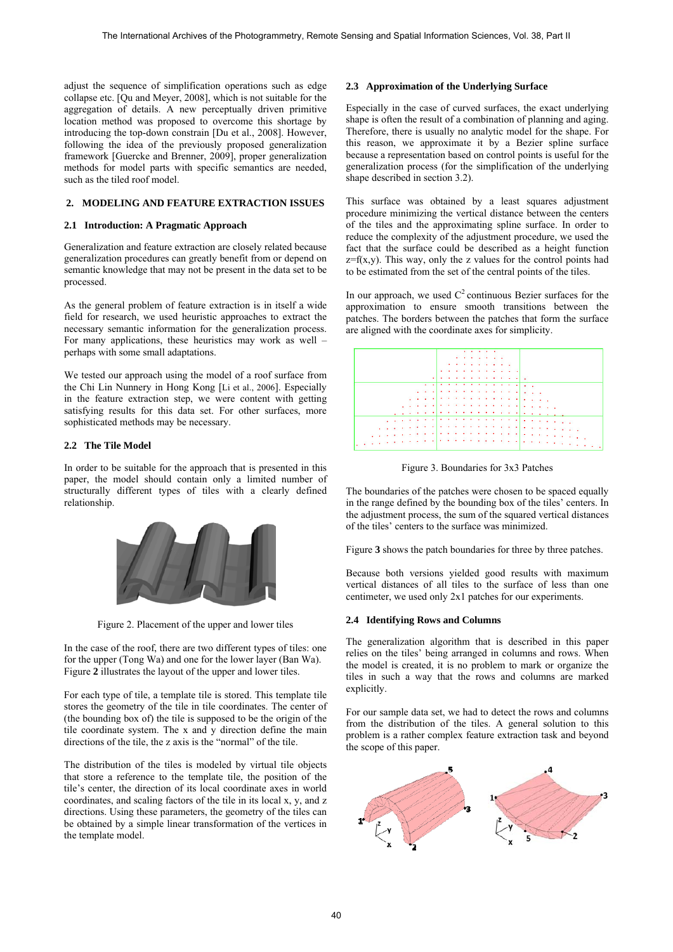adjust the sequence of simplification operations such as edge collapse etc. [Qu and Meyer, 2008], which is not suitable for the aggregation of details. A new perceptually driven primitive location method was proposed to overcome this shortage by introducing the top-down constrain [Du et al., 2008]. However, following the idea of the previously proposed generalization framework [Guercke and Brenner, 2009], proper generalization methods for model parts with specific semantics are needed, such as the tiled roof model.

# **2. MODELING AND FEATURE EXTRACTION ISSUES**

#### **2.1 Introduction: A Pragmatic Approach**

Generalization and feature extraction are closely related because generalization procedures can greatly benefit from or depend on semantic knowledge that may not be present in the data set to be processed.

As the general problem of feature extraction is in itself a wide field for research, we used heuristic approaches to extract the necessary semantic information for the generalization process. For many applications, these heuristics may work as well – perhaps with some small adaptations.

We tested our approach using the model of a roof surface from the Chi Lin Nunnery in Hong Kong [Li et al., 2006]. Especially in the feature extraction step, we were content with getting satisfying results for this data set. For other surfaces, more sophisticated methods may be necessary.

#### **2.2 The Tile Model**

In order to be suitable for the approach that is presented in this paper, the model should contain only a limited number of structurally different types of tiles with a clearly defined relationship.



Figure 2. Placement of the upper and lower tiles

In the case of the roof, there are two different types of tiles: one for the upper (Tong Wa) and one for the lower layer (Ban Wa). Figure **2** illustrates the layout of the upper and lower tiles.

For each type of tile, a template tile is stored. This template tile stores the geometry of the tile in tile coordinates. The center of (the bounding box of) the tile is supposed to be the origin of the tile coordinate system. The x and y direction define the main directions of the tile, the z axis is the "normal" of the tile.

The distribution of the tiles is modeled by virtual tile objects that store a reference to the template tile, the position of the tile's center, the direction of its local coordinate axes in world coordinates, and scaling factors of the tile in its local x, y, and z directions. Using these parameters, the geometry of the tiles can be obtained by a simple linear transformation of the vertices in the template model.

#### **2.3 Approximation of the Underlying Surface**

Especially in the case of curved surfaces, the exact underlying shape is often the result of a combination of planning and aging. Therefore, there is usually no analytic model for the shape. For this reason, we approximate it by a Bezier spline surface because a representation based on control points is useful for the generalization process (for the simplification of the underlying shape described in section 3.2).

This surface was obtained by a least squares adjustment procedure minimizing the vertical distance between the centers of the tiles and the approximating spline surface. In order to reduce the complexity of the adjustment procedure, we used the fact that the surface could be described as a height function  $z=f(x,y)$ . This way, only the z values for the control points had to be estimated from the set of the central points of the tiles.

In our approach, we used  $C^2$  continuous Bezier surfaces for the approximation to ensure smooth transitions between the patches. The borders between the patches that form the surface are aligned with the coordinate axes for simplicity.



Figure 3. Boundaries for 3x3 Patches

The boundaries of the patches were chosen to be spaced equally in the range defined by the bounding box of the tiles' centers. In the adjustment process, the sum of the squared vertical distances of the tiles' centers to the surface was minimized.

Figure **3** shows the patch boundaries for three by three patches.

Because both versions yielded good results with maximum vertical distances of all tiles to the surface of less than one centimeter, we used only 2x1 patches for our experiments.

## **2.4 Identifying Rows and Columns**

The generalization algorithm that is described in this paper relies on the tiles' being arranged in columns and rows. When the model is created, it is no problem to mark or organize the tiles in such a way that the rows and columns are marked explicitly.

For our sample data set, we had to detect the rows and columns from the distribution of the tiles. A general solution to this problem is a rather complex feature extraction task and beyond the scope of this paper.

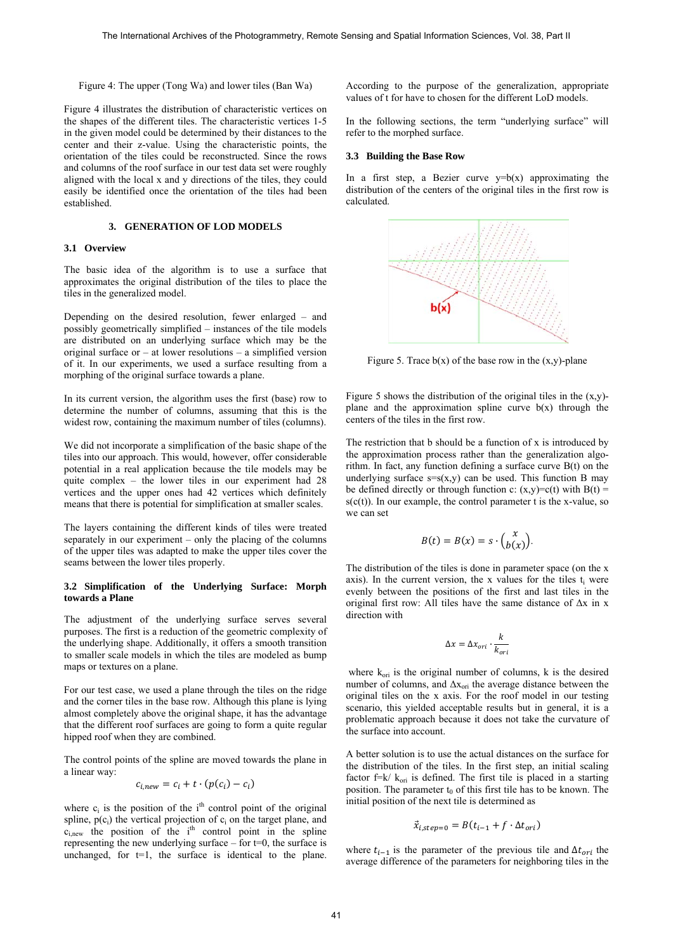Figure 4: The upper (Tong Wa) and lower tiles (Ban Wa)

Figure 4 illustrates the distribution of characteristic vertices on the shapes of the different tiles. The characteristic vertices 1-5 in the given model could be determined by their distances to the center and their z-value. Using the characteristic points, the orientation of the tiles could be reconstructed. Since the rows and columns of the roof surface in our test data set were roughly aligned with the local x and y directions of the tiles, they could easily be identified once the orientation of the tiles had been established.

#### **3. GENERATION OF LOD MODELS**

### **3.1 Overview**

The basic idea of the algorithm is to use a surface that approximates the original distribution of the tiles to place the tiles in the generalized model.

Depending on the desired resolution, fewer enlarged – and possibly geometrically simplified – instances of the tile models are distributed on an underlying surface which may be the original surface or – at lower resolutions – a simplified version of it. In our experiments, we used a surface resulting from a morphing of the original surface towards a plane.

In its current version, the algorithm uses the first (base) row to determine the number of columns, assuming that this is the widest row, containing the maximum number of tiles (columns).

We did not incorporate a simplification of the basic shape of the tiles into our approach. This would, however, offer considerable potential in a real application because the tile models may be quite complex – the lower tiles in our experiment had 28 vertices and the upper ones had 42 vertices which definitely means that there is potential for simplification at smaller scales.

The layers containing the different kinds of tiles were treated separately in our experiment – only the placing of the columns of the upper tiles was adapted to make the upper tiles cover the seams between the lower tiles properly.

## **3.2 Simplification of the Underlying Surface: Morph towards a Plane**

The adjustment of the underlying surface serves several purposes. The first is a reduction of the geometric complexity of the underlying shape. Additionally, it offers a smooth transition to smaller scale models in which the tiles are modeled as bump maps or textures on a plane.

For our test case, we used a plane through the tiles on the ridge and the corner tiles in the base row. Although this plane is lying almost completely above the original shape, it has the advantage that the different roof surfaces are going to form a quite regular hipped roof when they are combined.

The control points of the spline are moved towards the plane in a linear way:

$$
c_{i,new} = c_i + t \cdot (p(c_i) - c_i)
$$

where  $c_i$  is the position of the i<sup>th</sup> control point of the original spline,  $p(c_i)$  the vertical projection of  $c_i$  on the target plane, and  $c_{i,new}$  the position of the i<sup>th</sup> control point in the spline representing the new underlying surface – for  $t=0$ , the surface is unchanged, for  $t=1$ , the surface is identical to the plane. According to the purpose of the generalization, appropriate values of t for have to chosen for the different LoD models.

In the following sections, the term "underlying surface" will refer to the morphed surface.

#### **3.3 Building the Base Row**

In a first step, a Bezier curve  $y=b(x)$  approximating the distribution of the centers of the original tiles in the first row is calculated.



Figure 5. Trace  $b(x)$  of the base row in the  $(x,y)$ -plane

Figure 5 shows the distribution of the original tiles in the  $(x,y)$ plane and the approximation spline curve  $b(x)$  through the centers of the tiles in the first row.

The restriction that b should be a function of x is introduced by the approximation process rather than the generalization algorithm. In fact, any function defining a surface curve B(t) on the underlying surface  $s=s(x,y)$  can be used. This function B may be defined directly or through function c:  $(x,y)=c(t)$  with B(t) =  $s(c(t))$ . In our example, the control parameter t is the x-value, so we can set

$$
B(t) = B(x) = s \cdot {x \choose b(x)}.
$$

The distribution of the tiles is done in parameter space (on the x axis). In the current version, the x values for the tiles  $t_i$  were evenly between the positions of the first and last tiles in the original first row: All tiles have the same distance of  $\Delta x$  in x direction with

$$
\Delta x = \Delta x_{ori} \cdot \frac{k}{k_{ori}}
$$

where  $k_{ori}$  is the original number of columns, k is the desired number of columns, and  $\Delta x_{\text{ori}}$  the average distance between the original tiles on the x axis. For the roof model in our testing scenario, this yielded acceptable results but in general, it is a problematic approach because it does not take the curvature of the surface into account.

A better solution is to use the actual distances on the surface for the distribution of the tiles. In the first step, an initial scaling factor  $f=k/k_{\text{ori}}$  is defined. The first tile is placed in a starting position. The parameter  $t_0$  of this first tile has to be known. The initial position of the next tile is determined as

$$
\vec{x}_{i,step=0} = B(t_{i-1} + f \cdot \Delta t_{ori})
$$

where  $t_{i-1}$  is the parameter of the previous tile and  $\Delta t_{ori}$  the average difference of the parameters for neighboring tiles in the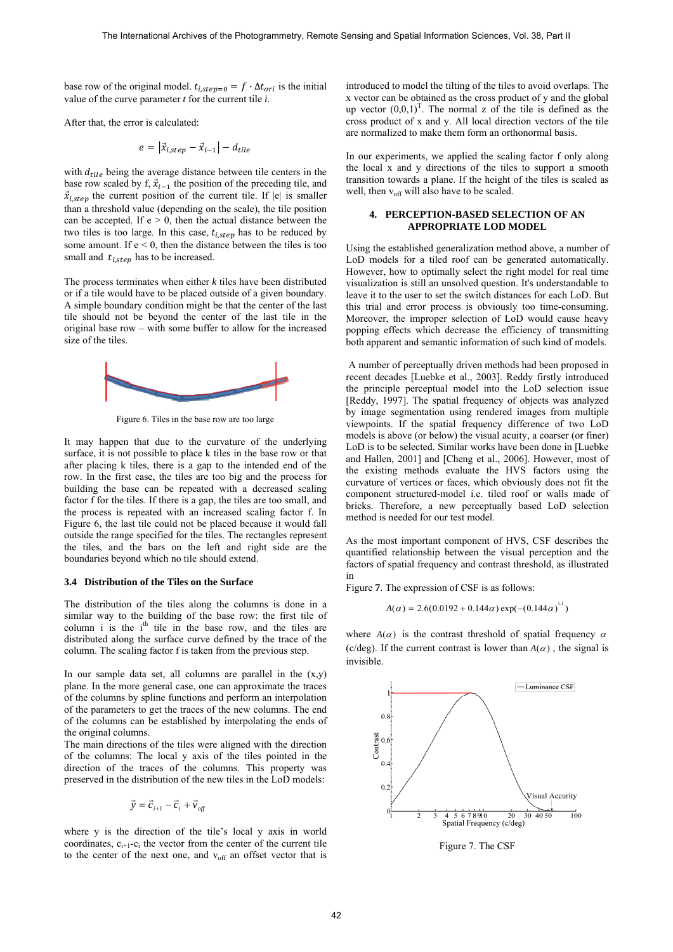base row of the original model.  $t_{i,step=0} = f \cdot \Delta t_{ori}$  is the initial value of the curve parameter *t* for the current tile *i*.

After that, the error is calculated:

$$
e = |\vec{x}_{i,step} - \vec{x}_{i-1}| - d_{tile}
$$

with  $d_{tile}$  being the average distance between tile centers in the base row scaled by f,  $\vec{x}_{i-1}$  the position of the preceding tile, and  $\vec{x}_{i,step}$  the current position of the current tile. If  $|e|$  is smaller than a threshold value (depending on the scale), the tile position can be accepted. If  $e > 0$ , then the actual distance between the two tiles is too large. In this case,  $t_{i,step}$  has to be reduced by some amount. If  $e < 0$ , then the distance between the tiles is too small and  $t_{i,step}$  has to be increased.

The process terminates when either *k* tiles have been distributed or if a tile would have to be placed outside of a given boundary. A simple boundary condition might be that the center of the last tile should not be beyond the center of the last tile in the original base row – with some buffer to allow for the increased size of the tiles.



Figure 6. Tiles in the base row are too large

It may happen that due to the curvature of the underlying surface, it is not possible to place k tiles in the base row or that after placing k tiles, there is a gap to the intended end of the row. In the first case, the tiles are too big and the process for building the base can be repeated with a decreased scaling factor f for the tiles. If there is a gap, the tiles are too small, and the process is repeated with an increased scaling factor f. In Figure 6, the last tile could not be placed because it would fall outside the range specified for the tiles. The rectangles represent the tiles, and the bars on the left and right side are the boundaries beyond which no tile should extend.

#### **3.4 Distribution of the Tiles on the Surface**

The distribution of the tiles along the columns is done in a similar way to the building of the base row: the first tile of column i is the  $i<sup>th</sup>$  tile in the base row, and the tiles are distributed along the surface curve defined by the trace of the column. The scaling factor f is taken from the previous step.

In our sample data set, all columns are parallel in the  $(x,y)$ plane. In the more general case, one can approximate the traces of the columns by spline functions and perform an interpolation of the parameters to get the traces of the new columns. The end of the columns can be established by interpolating the ends of the original columns.

The main directions of the tiles were aligned with the direction of the columns: The local y axis of the tiles pointed in the direction of the traces of the columns. This property was preserved in the distribution of the new tiles in the LoD models:

$$
\vec{y} = \vec{c}_{i+1} - \vec{c}_i + \vec{v}_{\text{off}}
$$

where y is the direction of the tile's local y axis in world coordinates,  $c_{i+1}-c_i$  the vector from the center of the current tile to the center of the next one, and  $v_{off}$  an offset vector that is introduced to model the tilting of the tiles to avoid overlaps. The x vector can be obtained as the cross product of y and the global up vector  $(0,0,1)^T$ . The normal z of the tile is defined as the cross product of x and y. All local direction vectors of the tile are normalized to make them form an orthonormal basis.

In our experiments, we applied the scaling factor f only along the local x and y directions of the tiles to support a smooth transition towards a plane. If the height of the tiles is scaled as well, then  $v_{off}$  will also have to be scaled.

#### **4. PERCEPTION-BASED SELECTION OF AN APPROPRIATE LOD MODEL**

Using the established generalization method above, a number of LoD models for a tiled roof can be generated automatically. However, how to optimally select the right model for real time visualization is still an unsolved question. It's understandable to leave it to the user to set the switch distances for each LoD. But this trial and error process is obviously too time-consuming. Moreover, the improper selection of LoD would cause heavy popping effects which decrease the efficiency of transmitting both apparent and semantic information of such kind of models.

 A number of perceptually driven methods had been proposed in recent decades [Luebke et al., 2003]. Reddy firstly introduced the principle perceptual model into the LoD selection issue [Reddy, 1997]. The spatial frequency of objects was analyzed by image segmentation using rendered images from multiple viewpoints. If the spatial frequency difference of two LoD models is above (or below) the visual acuity, a coarser (or finer) LoD is to be selected. Similar works have been done in [Luebke and Hallen, 2001] and [Cheng et al., 2006]. However, most of the existing methods evaluate the HVS factors using the curvature of vertices or faces, which obviously does not fit the component structured-model i.e. tiled roof or walls made of bricks. Therefore, a new perceptually based LoD selection method is needed for our test model.

As the most important component of HVS, CSF describes the quantified relationship between the visual perception and the factors of spatial frequency and contrast threshold, as illustrated in

Figure **7**. The expression of CSF is as follows:

$$
A(\alpha) = 2.6(0.0192 + 0.144\alpha) \exp(-(0.144\alpha)^{1.1})
$$

where  $A(\alpha)$  is the contrast threshold of spatial frequency  $\alpha$ (c/deg). If the current contrast is lower than  $A(\alpha)$ , the signal is invisible.



Figure 7. The CSF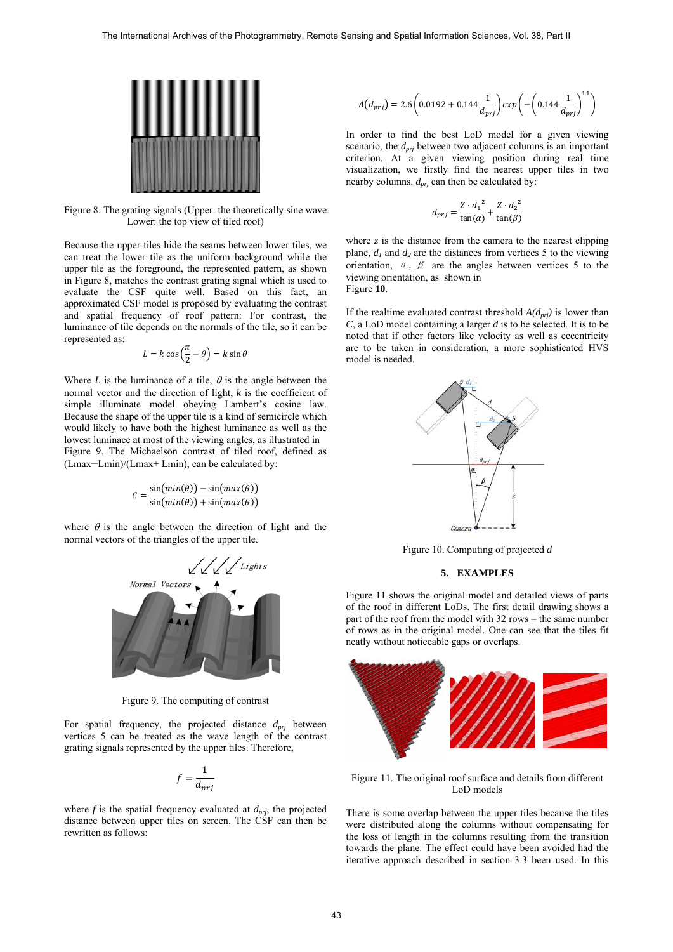

Figure 8. The grating signals (Upper: the theoretically sine wave. Lower: the top view of tiled roof)

Because the upper tiles hide the seams between lower tiles, we can treat the lower tile as the uniform background while the upper tile as the foreground, the represented pattern, as shown in Figure 8, matches the contrast grating signal which is used to evaluate the CSF quite well. Based on this fact, an approximated CSF model is proposed by evaluating the contrast and spatial frequency of roof pattern: For contrast, the luminance of tile depends on the normals of the tile, so it can be represented as:

$$
L = k \cos\left(\frac{\pi}{2} - \theta\right) = k \sin\theta
$$

Where *L* is the luminance of a tile,  $\theta$  is the angle between the normal vector and the direction of light, *k* is the coefficient of simple illuminate model obeying Lambert's cosine law. Because the shape of the upper tile is a kind of semicircle which would likely to have both the highest luminance as well as the lowest luminace at most of the viewing angles, as illustrated in Figure 9. The Michaelson contrast of tiled roof, defined as (Lmax−Lmin)/(Lmax+ Lmin), can be calculated by:

$$
C = \frac{\sin(min(\theta)) - \sin(max(\theta))}{\sin(min(\theta)) + \sin(max(\theta))}
$$

where  $\theta$  is the angle between the direction of light and the normal vectors of the triangles of the upper tile.



Figure 9. The computing of contrast

For spatial frequency, the projected distance  $d_{pri}$  between vertices 5 can be treated as the wave length of the contrast grating signals represented by the upper tiles. Therefore,

$$
f = \frac{1}{d_{prj}}
$$

where  $f$  is the spatial frequency evaluated at  $d_{prj}$ , the projected distance between upper tiles on screen. The CSF can then be rewritten as follows:

$$
A(d_{prj}) = 2.6 \left( 0.0192 + 0.144 \frac{1}{d_{prj}} \right) exp \left( - \left( 0.144 \frac{1}{d_{prj}} \right)^{1.1} \right)
$$

In order to find the best LoD model for a given viewing scenario, the *dprj* between two adjacent columns is an important criterion. At a given viewing position during real time visualization, we firstly find the nearest upper tiles in two nearby columns.  $d_{pri}$  can then be calculated by:

$$
d_{pri} = \frac{Z \cdot d_1^2}{\tan(\alpha)} + \frac{Z \cdot d_2^2}{\tan(\beta)}
$$

where  $z$  is the distance from the camera to the nearest clipping plane,  $d_1$  and  $d_2$  are the distances from vertices 5 to the viewing orientation,  $\alpha$ ,  $\beta$  are the angles between vertices 5 to the viewing orientation, as shown in Figure **10**.

If the realtime evaluated contrast threshold  $A(d_{pri})$  is lower than *C*, a LoD model containing a larger *d* is to be selected. It is to be noted that if other factors like velocity as well as eccentricity are to be taken in consideration, a more sophisticated HVS model is needed.



Figure 10. Computing of projected *d*

# **5. EXAMPLES**

Figure 11 shows the original model and detailed views of parts of the roof in different LoDs. The first detail drawing shows a part of the roof from the model with 32 rows – the same number of rows as in the original model. One can see that the tiles fit neatly without noticeable gaps or overlaps.



Figure 11. The original roof surface and details from different LoD models

There is some overlap between the upper tiles because the tiles were distributed along the columns without compensating for the loss of length in the columns resulting from the transition towards the plane. The effect could have been avoided had the iterative approach described in section 3.3 been used. In this